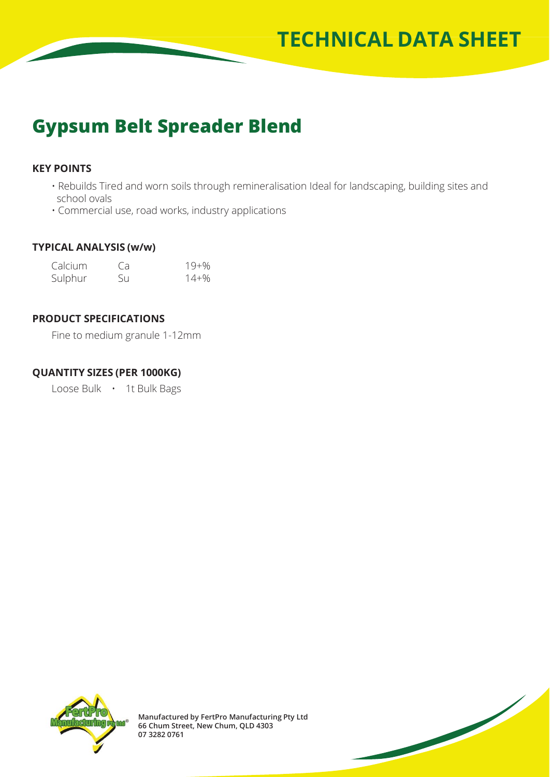

# **Gypsum Belt Spreader Blend**

## **KEY POINTS**

- Rebuilds Tired and worn soils through remineralisation Ideal for landscaping, building sites and school ovals
- Commercial use, road works, industry applications

#### **TYPICAL ANALYSIS (w/w)**

| Calcium | Ca. | $19 + \%$ |
|---------|-----|-----------|
| Sulphur | Su  | 14+%      |

#### **PRODUCT SPECIFICATIONS**

Fine to medium granule 1-12mm

#### **QUANTITY SIZES (PER 1000KG)**

Loose Bulk • 1t Bulk Bags



**Manufactured by FertPro Manufacturing Pty Ltd 66 Chum Street, New Chum, QLD 4303 07 3282 0761**